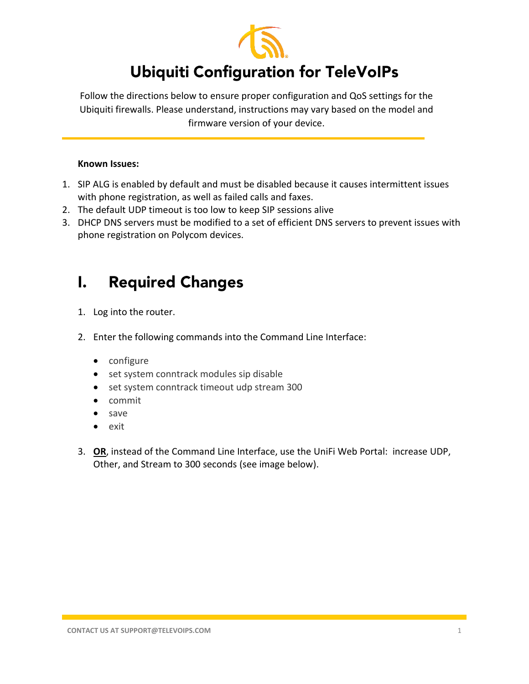

## **Ubiquiti Configuration for TeleVoIPs**

Follow the directions below to ensure proper configuration and QoS settings for the Ubiquiti firewalls. Please understand, instructions may vary based on the model and firmware version of your device.

## **Known Issues:**

- 1. SIP ALG is enabled by default and must be disabled because it causes intermittent issues with phone registration, as well as failed calls and faxes.
- 2. The default UDP timeout is too low to keep SIP sessions alive
- 3. DHCP DNS servers must be modified to a set of efficient DNS servers to prevent issues with phone registration on Polycom devices.

## **Required Changes**  $\mathbf{L}$

- 1. Log into the router.
- 2. Enter the following commands into the Command Line Interface:
	- configure
	- set system conntrack modules sip disable
	- set system conntrack timeout udp stream 300
	- commit
	- save
	- exit
- 3. **OR**, instead of the Command Line Interface, use the UniFi Web Portal: increase UDP, Other, and Stream to 300 seconds (see image below).